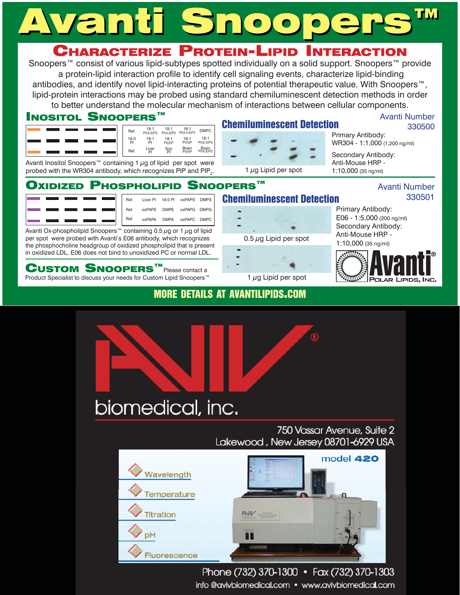# Vanti Snoor

#### Characterize Protein-Lipid **INTERACTION**

Snoopers<sup>™</sup> consist of various lipid-subtypes spotted individually on a solid support. Snoopers™ provide a protein-lipid interaction profile to identify cell signaling events, characterize lipid-binding antibodies, and identify novel lipid-interacting proteins of potential therapeutic value. With Snoopers<sup>™</sup>, lipid-protein interactions may be probed using standard chemiluminescent detection methods in order to better understand the molecular mechanism of interactions between cellular components.

**Chemiluminescent Detection** 

1  $\mu$ g Lipid per spot

**Chemiluminescent Detection** 

0.5  $\mu$ g Lipid per spot

1  $\mu$ g Lipid per spot

### **INOSITOL SNOOPERS™**

| Ref.       | 18:1<br>PI(3,5)P2 | 18:1<br>PI(4,5)P2 | 18:1<br>PI(3,4,5)P3 | <b>DMPC</b>               |
|------------|-------------------|-------------------|---------------------|---------------------------|
| 16:0<br>Pl | 18:1<br>PI        | 18:1<br>PI(3)P    | 18:1<br>PI(4)P      | 18:1<br>PI(3,4)P2         |
| Ref.       | Liver<br>Ρi       | Soy<br>Pl         | Brain<br>Pl(4)P     | <b>Brain</b><br>PI(4,5)P2 |

Avanti Inositol Snoopers<sup>™</sup> containing 1  $\mu$ g of lipid per spot were probed with the WR304 antibody, which recognizes PIP and PIP<sub>2</sub>.

#### **SNOOPERS™ OXIDIZED PHOSPHOLIPID**

 $16:0P1$ 

**DMPF** 

**DMPA** 

|  |  |  | Ref. | Liver PI |
|--|--|--|------|----------|
|  |  |  | Ref. | oxPAPE   |
|  |  |  | Ref. | oxPAPA   |

Avanti Ox-phospholipid Snoopers<sup>™</sup> containing 0.5 µg or 1 µg of lipid per spot were probed with Avanti's E06 antibody, which recognizes the phosphocholine headgroup of oxidized phospholipid that is present in oxidized LDL. E06 does not bind to unoxidized PC or normal LDL.

 $\mathbf C$ USTOM  $\mathbf S$ NOOPERS $^{\mathsf{rw}}$ Please contact a

Product Specialist to discuss your needs for Custom Lipid Snoopers<sup>™</sup>

### **MORE DETAILS AT AVANTILIPIDS.COM**

**DMPS** 

oxPAPS

oxPAPG DMPG

OYPAPC DMPC



Phone (732) 370-1300 • Fax (732) 370-1303

info@avivbiomedical.com • www.avivbiomedical.com

### **Avanti Number** 330500

Primary Antibody: WR304 - 1:1,000 (1,200 ng/ml)

Secondary Antibody: Anti-Mouse HRP -1:10,000 (35 ng/ml)

### **Avanti Number** 330501

Primary Antibody: E06 - 1:5,000 (200 ng/ml) Secondary Antibody: Anti-Mouse HRP - $1:10,000$  (35 ng/ml)

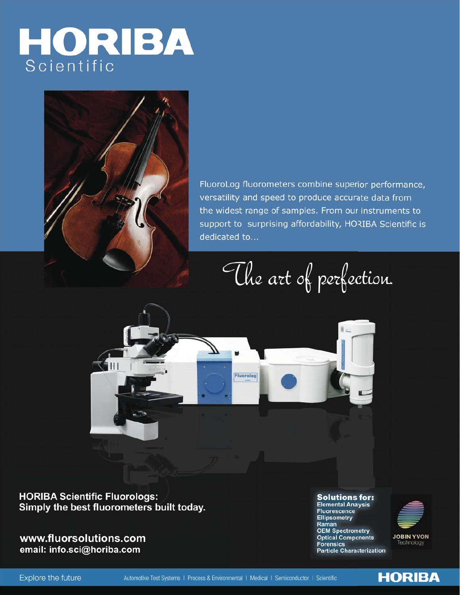# HORIBA



FluoroLog fluorometers combine superior performance, versatility and speed to produce accurate data from the widest range of samples. From our instruments to support to surprising affordability, HORIBA Scientific is dedicated to...

The art of perfection.



**HORIBA Scientific Fluorologs:** Simply the best fluorometers built today.

www.fluorsolutions.com email: info.sci@horiba.com

**Solutions for: Elemental Analysis Fluorescence Ellipsometry** Raman **OEM Spectrometry Optical Components Forensics Particle Characterization** 



**HORIBA** 

Explore the future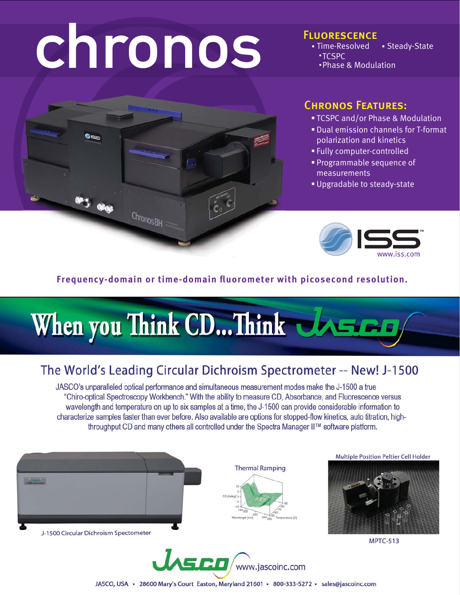# chronos

### **FLUORESCENCE**

· Time-Resolved • Steady-State **\*TCSPC** . Phase & Modulation



### **CHRONOS FEATURES:**

- " TCSPC and/or Phase & Modulation
- . Dual emission channels for T-format polarization and kinetics
- . Fully computer-controlled
- Programmable sequence of measurements
- Upgradable to steady-state



### Frequency-domain or time-domain fluorometer with picosecond resolution.

## When you Think CD... Think UASED

### The World's Leading Circular Dichroism Spectrometer -- New! J-1500

JASCO's unparalleled optical performance and simultaneous measurement modes make the J-1500 a true "Chiro-optical Spectroscopy Workbench." With the ability to measure CD, Absorbance, and Fluorescence versus wavelength and temperature on up to six samples at a time, the J-1500 can provide considerable information to characterize samples faster than ever before. Also available are options for stopped-flow kinetics, auto titration, highthroughput CD and many others all controlled under the Spectra Manager II™ software platform.



**Multiple Position Peltier Cell Holder** 



**MPTC-513** 

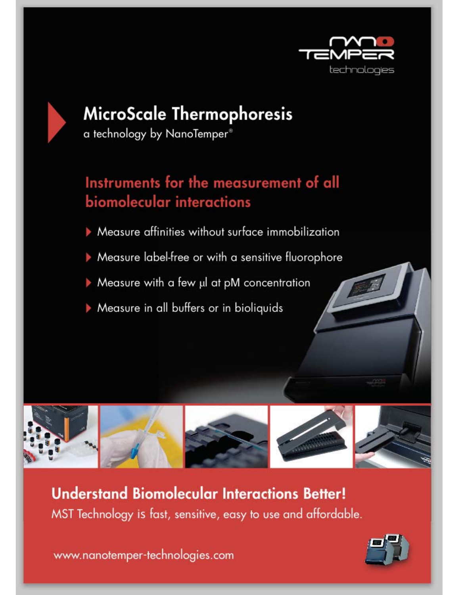

## MicroScale Thermophoresis

a technology by NanoTemper<sup>®</sup>

### Instruments for the measurement of all biomolecular interactions

- Measure affinities without surface immobilization
- Measure label-free or with a sensitive fluorophore
- Measure with a few µl at pM concentration
- Measure in all buffers or in bioliquids



**Understand Biomolecular Interactions Better!** MST Technology is fast, sensitive, easy to use and affordable.

www.nanotemper-technologies.com